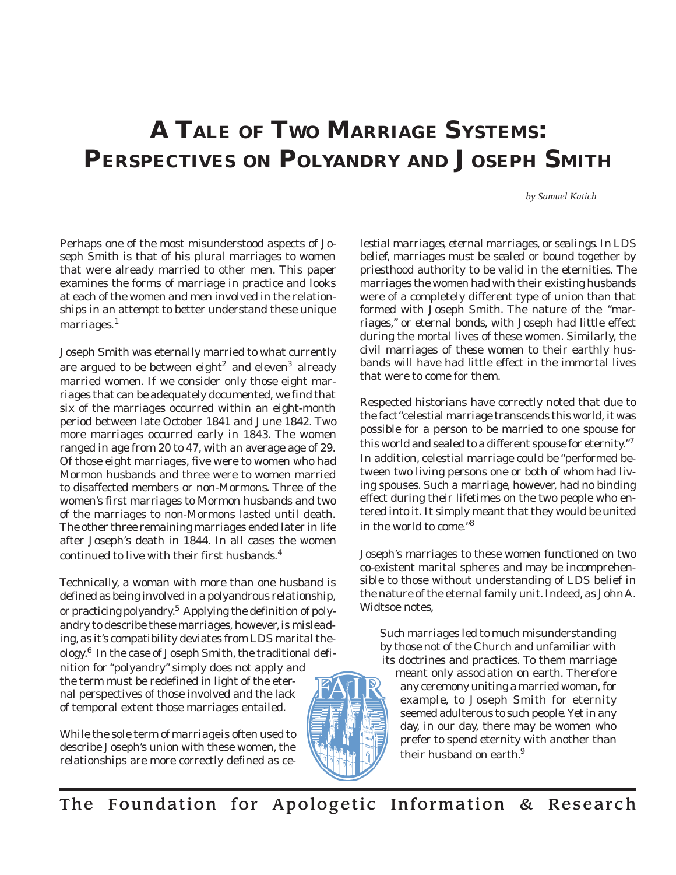# **A TALE OF TWO MARRIAGE SYSTEMS: PERSPECTIVES ON POLYANDRY AND JOSEPH SMITH**

*by Samuel Katich*

Perhaps one of the most misunderstood aspects of Joseph Smith is that of his plural marriages to women that were already married to other men. This paper examines the forms of marriage in practice and looks at each of the women and men involved in the relationships in an attempt to better understand these unique marriages.<sup>1</sup>

Joseph Smith was eternally married to what currently are argued to be between eight<sup>2</sup> and eleven<sup>3</sup> already married women. If we consider only those eight marriages that can be adequately documented, we find that six of the marriages occurred within an eight-month period between late October 1841 and June 1842. Two more marriages occurred early in 1843. The women ranged in age from 20 to 47, with an average age of 29. Of those eight marriages, five were to women who had Mormon husbands and three were to women married to disaffected members or non-Mormons. Three of the women's first marriages to Mormon husbands and two of the marriages to non-Mormons lasted until death. The other three remaining marriages ended later in life after Joseph's death in 1844. In all cases the women continued to live with their first husbands.<sup>4</sup>

Technically, a woman with more than one husband is defined as being involved in a polyandrous relationship, or practicing polyandry.5 Applying the definition of polyandry to describe these marriages, however, is misleading, as it's compatibility deviates from LDS marital theology.6 In the case of Joseph Smith, the traditional definition for "polyandry" simply does not apply and the term must be redefined in light of the eter-

nal perspectives of those involved and the lack of temporal extent those marriages entailed.

While the sole term of *marriage* is often used to describe Joseph's union with these women, the relationships are more correctly defined as *ce-*



*lestial marriages, eternal marriages,* or *sealings.* In LDS belief, marriages must be *sealed* or bound together by priesthood authority to be valid in the eternities. The marriages the women had with their existing husbands were of a completely different type of union than that formed with Joseph Smith. The nature of the "marriages," or eternal bonds, with Joseph had little effect during the mortal lives of these women. Similarly, the civil marriages of these women to their earthly husbands will have had little effect in the immortal lives that were to come for them.

Respected historians have correctly noted that due to the fact "celestial marriage transcends this world, it was possible for a person to be married to one spouse for this world and sealed to a different spouse for eternity."7 In addition, celestial marriage could be "performed between two living persons one or both of whom had living spouses. Such a marriage, however, had no binding effect during their lifetimes on the two people who entered into it. It simply meant that they would be united in the world to come."<sup>8</sup>

Joseph's marriages to these women functioned on two co-existent marital spheres and may be incomprehensible to those without understanding of LDS belief in the nature of the eternal family unit. Indeed, as John A. Widtsoe notes,

Such marriages led to much misunderstanding by those not of the Church and unfamiliar with its doctrines and practices. To them marriage

meant only association on earth. Therefore any ceremony uniting a married woman, for example, to Joseph Smith for eternity seemed adulterous to such people. Yet in any day, in our day, there may be women who prefer to spend eternity with another than their husband on earth.<sup>9</sup>

The Foundation for Apologetic Information & Research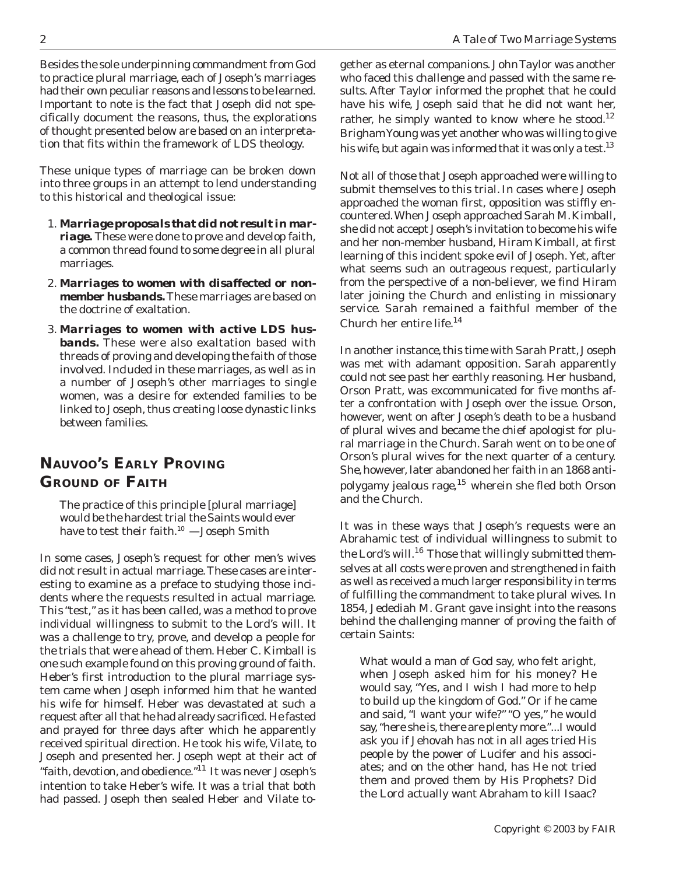Besides the sole underpinning commandment from God to practice plural marriage, each of Joseph's marriages had their own peculiar reasons and lessons to be learned. Important to note is the fact that Joseph did not specifically document the reasons, thus, the explorations of thought presented below are based on an interpretation that fits within the framework of LDS theology.

These unique types of marriage can be broken down into three groups in an attempt to lend understanding to this historical and theological issue:

- 1. *Marriage proposals that did not result in marriage.* These were done to prove and develop faith, a common thread found to some degree in all plural marriages.
- 2. *Marriages to women with disaffected or nonmember husbands.* These marriages are based on the doctrine of exaltation.
- 3. *Marriages to women with active LDS husbands.* These were also exaltation based with threads of proving and developing the faith of those involved. Included in these marriages, as well as in a number of Joseph's other marriages to single women, was a desire for extended families to be linked to Joseph, thus creating loose dynastic links between families.

# **NAUVOO'S EARLY PROVING GROUND OF FAITH**

The practice of this principle [plural marriage] would be the hardest trial the Saints would ever have to test their faith.<sup>10</sup> - Joseph Smith

In some cases, Joseph's request for other men's wives did not result in actual marriage. These cases are interesting to examine as a preface to studying those incidents where the requests resulted in actual marriage. This "test," as it has been called, was a method to prove individual willingness to submit to the Lord's will. It was a challenge to try, prove, and develop a people for the trials that were ahead of them. Heber C. Kimball is one such example found on this proving ground of faith. Heber's first introduction to the plural marriage system came when Joseph informed him that he wanted his wife for himself. Heber was devastated at such a request after all that he had already sacrificed. He fasted and prayed for three days after which he apparently received spiritual direction. He took his wife, Vilate, to Joseph and presented her. Joseph wept at their act of "faith, devotion, and obedience."11 It was never Joseph's intention to take Heber's wife. It was a trial that both had passed. Joseph then sealed Heber and Vilate to-

gether as eternal companions. John Taylor was another who faced this challenge and passed with the same results. After Taylor informed the prophet that he could have his wife, Joseph said that he did not want her, rather, he simply wanted to know where he stood.<sup>12</sup> Brigham Young was yet another who was willing to give his wife, but again was informed that it was only a test.<sup>13</sup>

Not all of those that Joseph approached were willing to submit themselves to this trial. In cases where Joseph approached the woman first, opposition was stiffly encountered. When Joseph approached Sarah M. Kimball, she did not accept Joseph's invitation to become his wife and her non-member husband, Hiram Kimball, at first learning of this incident spoke evil of Joseph. Yet, after what seems such an outrageous request, particularly from the perspective of a non-believer, we find Hiram later joining the Church and enlisting in missionary service. Sarah remained a faithful member of the Church her entire life.14

In another instance, this time with Sarah Pratt, Joseph was met with adamant opposition. Sarah apparently could not see past her earthly reasoning. Her husband, Orson Pratt, was excommunicated for five months after a confrontation with Joseph over the issue. Orson, however, went on after Joseph's death to be a husband of plural wives and became the chief apologist for plural marriage in the Church. Sarah went on to be one of Orson's plural wives for the next quarter of a century. She, however, later abandoned her faith in an 1868 antipolygamy jealous rage,<sup>15</sup> wherein she fled both Orson and the Church.

It was in these ways that Joseph's requests were an Abrahamic test of individual willingness to submit to the Lord's will.<sup>16</sup> Those that willingly submitted themselves at all costs were proven and strengthened in faith as well as received a much larger responsibility in terms of fulfilling the commandment to take plural wives. In 1854, Jedediah M. Grant gave insight into the reasons behind the challenging manner of proving the faith of certain Saints:

What would a man of God say, who felt aright, when Joseph asked him for his money? He would say, "Yes, and I wish I had more to help to build up the kingdom of God." Or if he came and said, "I want your wife?" "O yes," he would say, "here she is, there are plenty more."...I would ask you if Jehovah has not in all ages tried His people by the power of Lucifer and his associates; and on the other hand, has He not tried them and proved them by His Prophets? Did the Lord actually want Abraham to kill Isaac?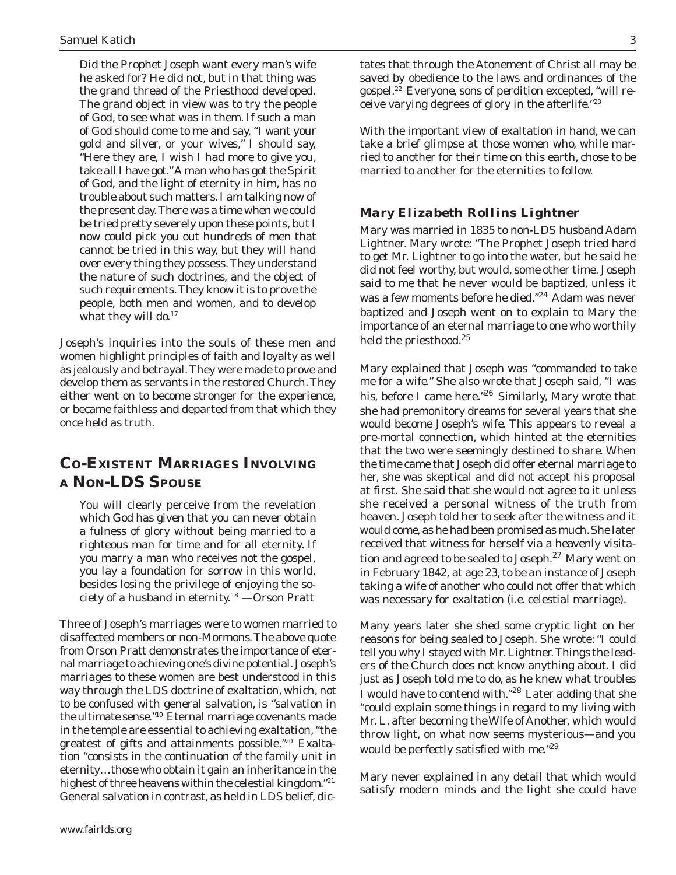Did the Prophet Joseph want every man's wife he asked for? He did not, but in that thing was the grand thread of the Priesthood developed. The grand object in view was to try the people of God, to see what was in them. If such a man of God should come to me and say, "I want your gold and silver, or your wives," I should say, "Here they are, I wish I had more to give you, take all I have got." A man who has got the Spirit of God, and the light of eternity in him, has no trouble about such matters. I am talking now of the present day. There was a time when we could be tried pretty severely upon these points, but I now could pick you out hundreds of men that cannot be tried in this way, but they will hand over every thing they possess. They understand the nature of such doctrines, and the object of such requirements. They know it is to prove the people, both men and women, and to develop what they will do. $17$ 

Joseph's inquiries into the souls of these men and women highlight principles of faith and loyalty as well as jealously and betrayal. They were made to prove and develop them as servants in the restored Church. They either went on to become stronger for the experience, or became faithless and departed from that which they once held as truth.

## **CO-EXISTENT MARRIAGES INVOLVING A NON-LDS SPOUSE**

You will clearly perceive from the revelation which God has given that you can never obtain a fulness of glory without being married to a righteous man for time and for all eternity. If you marry a man who receives not the gospel, you lay a foundation for sorrow in this world, besides losing the privilege of enjoying the society of a husband in eternity.18 —Orson Pratt

Three of Joseph's marriages were to women married to disaffected members or non-Mormons. The above quote from Orson Pratt demonstrates the importance of eternal marriage to achieving one's divine potential. Joseph's marriages to these women are best understood in this way through the LDS doctrine of exaltation, which, not to be confused with general salvation, is "salvation in the ultimate sense."19 Eternal marriage covenants made in the temple are essential to achieving exaltation, "the greatest of gifts and attainments possible."20 Exaltation "consists in the continuation of the family unit in eternity…those who obtain it gain an inheritance in the highest of three heavens within the celestial kingdom."<sup>21</sup> General salvation in contrast, as held in LDS belief, dictates that through the Atonement of Christ all may be saved by obedience to the laws and ordinances of the gospel.22 Everyone, sons of perdition excepted, "will receive varying degrees of glory in the afterlife."23

With the important view of exaltation in hand, we can take a brief glimpse at those women who, while married to another for their time on this earth, chose to be married to another for the eternities to follow.

#### *Mary Elizabeth Rollins Lightner*

Mary was married in 1835 to non-LDS husband Adam Lightner. Mary wrote: "The Prophet Joseph tried hard to get Mr. Lightner to go into the water, but he said he did not feel worthy, but would, some other time. Joseph said to me that he never would be baptized, unless it was a few moments before he died."<sup>24</sup> Adam was never baptized and Joseph went on to explain to Mary the importance of an eternal marriage to one who worthily held the priesthood.<sup>25</sup>

Mary explained that Joseph was "commanded to take me for a wife." She also wrote that Joseph said, "I was his, before I came here."<sup>26</sup> Similarly, Mary wrote that she had premonitory dreams for several years that she would become Joseph's wife. This appears to reveal a pre-mortal connection, which hinted at the eternities that the two were seemingly destined to share. When the time came that Joseph did offer eternal marriage to her, she was skeptical and did not accept his proposal at first. She said that she would not agree to it unless she received a personal witness of the truth from heaven. Joseph told her to seek after the witness and it would come, as he had been promised as much. She later received that witness for herself via a heavenly visitation and agreed to be sealed to Joseph.<sup>27</sup> Mary went on in February 1842, at age 23, to be an instance of Joseph taking a wife of another who could not offer that which was necessary for exaltation (i.e. celestial marriage).

Many years later she shed some cryptic light on her reasons for being sealed to Joseph. She wrote: "I could tell you why I stayed with Mr. Lightner. Things the leaders of the Church does not know anything about. I did just as Joseph told me to do, as he knew what troubles I would have to contend with."28 Later adding that she "could explain some things in regard to my living with Mr. L. after becoming the Wife of Another, which would throw light, on what now seems mysterious—and you would be perfectly satisfied with me."<sup>29</sup>

Mary never explained in any detail that which would satisfy modern minds and the light she could have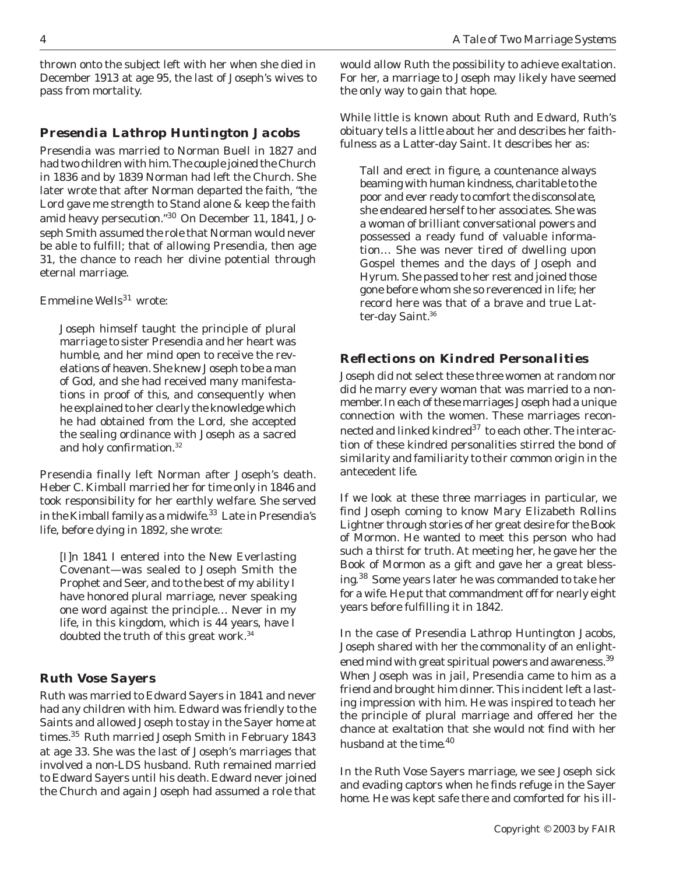thrown onto the subject left with her when she died in December 1913 at age 95, the last of Joseph's wives to pass from mortality.

#### *Presendia Lathrop Huntington Jacobs*

Presendia was married to Norman Buell in 1827 and had two children with him. The couple joined the Church in 1836 and by 1839 Norman had left the Church. She later wrote that after Norman departed the faith, "the Lord gave me strength to Stand alone & keep the faith amid heavy persecution."30 On December 11, 1841, Joseph Smith assumed the role that Norman would never be able to fulfill; that of allowing Presendia, then age 31, the chance to reach her divine potential through eternal marriage.

Emmeline Wells $^{31}$  wrote:

Joseph himself taught the principle of plural marriage to sister Presendia and her heart was humble, and her mind open to receive the revelations of heaven. She knew Joseph to be a man of God, and she had received many manifestations in proof of this, and consequently when he explained to her clearly the knowledge which he had obtained from the Lord, she accepted the sealing ordinance with Joseph as a sacred and holy confirmation.<sup>32</sup>

Presendia finally left Norman after Joseph's death. Heber C. Kimball married her for time only in 1846 and took responsibility for her earthly welfare. She served in the Kimball family as a midwife.<sup>33</sup> Late in Presendia's life, before dying in 1892, she wrote:

[I]n 1841 I entered into the New Everlasting Covenant—was sealed to Joseph Smith the Prophet and Seer, and to the best of my ability I have honored plural marriage, never speaking one word against the principle… Never in my life, in this kingdom, which is 44 years, have I doubted the truth of this great work.<sup>34</sup>

#### *Ruth Vose Sayers*

Ruth was married to Edward Sayers in 1841 and never had any children with him. Edward was friendly to the Saints and allowed Joseph to stay in the Sayer home at times.<sup>35</sup> Ruth married Joseph Smith in February 1843 at age 33. She was the last of Joseph's marriages that involved a non-LDS husband. Ruth remained married to Edward Sayers until his death. Edward never joined the Church and again Joseph had assumed a role that

would allow Ruth the possibility to achieve exaltation. For her, a marriage to Joseph may likely have seemed the only way to gain that hope.

While little is known about Ruth and Edward, Ruth's obituary tells a little about her and describes her faithfulness as a Latter-day Saint. It describes her as:

Tall and erect in figure, a countenance always beaming with human kindness, charitable to the poor and ever ready to comfort the disconsolate, she endeared herself to her associates. She was a woman of brilliant conversational powers and possessed a ready fund of valuable information… She was never tired of dwelling upon Gospel themes and the days of Joseph and Hyrum. She passed to her rest and joined those gone before whom she so reverenced in life; her record here was that of a brave and true Latter-day Saint.<sup>36</sup>

## *Reflections on Kindred Personalities*

Joseph did not select these three women at random nor did he marry every woman that was married to a nonmember. In each of these marriages Joseph had a unique connection with the women. These marriages reconnected and linked kindred<sup>37</sup> to each other. The interaction of these kindred personalities stirred the bond of similarity and familiarity to their common origin in the antecedent life.

If we look at these three marriages in particular, we find Joseph coming to know Mary Elizabeth Rollins Lightner through stories of her great desire for the Book of Mormon. He wanted to meet this person who had such a thirst for truth. At meeting her, he gave her the Book of Mormon as a gift and gave her a great blessing.<sup>38</sup> Some years later he was commanded to take her for a wife. He put that commandment off for nearly eight years before fulfilling it in 1842.

In the case of Presendia Lathrop Huntington Jacobs, Joseph shared with her the commonality of an enlightened mind with great spiritual powers and awareness.<sup>39</sup> When Joseph was in jail, Presendia came to him as a friend and brought him dinner. This incident left a lasting impression with him. He was inspired to teach her the principle of plural marriage and offered her the chance at exaltation that she would not find with her husband at the time.<sup>40</sup>

In the Ruth Vose Sayers marriage, we see Joseph sick and evading captors when he finds refuge in the Sayer home. He was kept safe there and comforted for his ill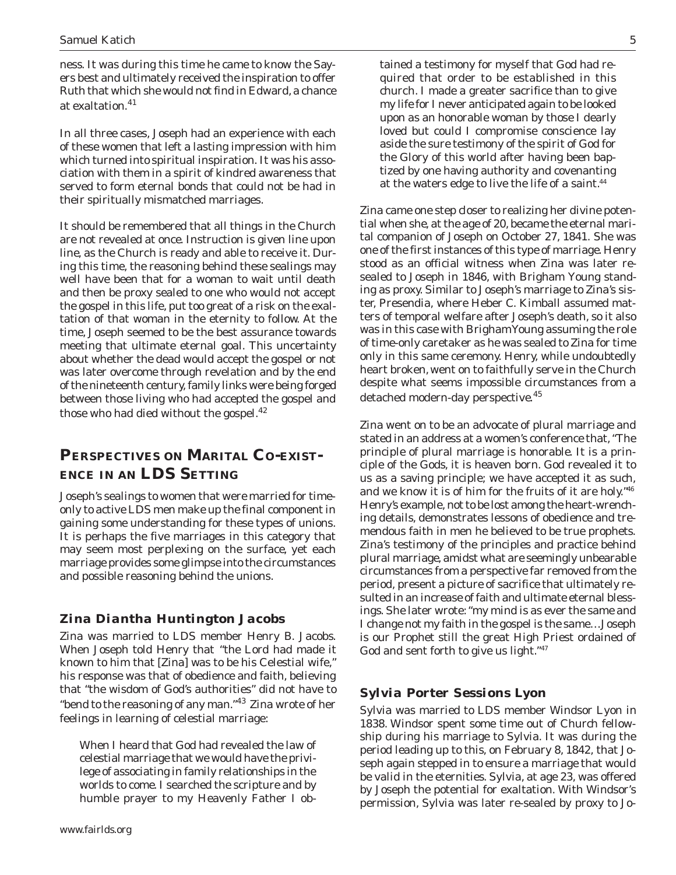ness. It was during this time he came to know the Sayers best and ultimately received the inspiration to offer Ruth that which she would not find in Edward, a chance at exaltation.<sup>41</sup>

In all three cases, Joseph had an experience with each of these women that left a lasting impression with him which turned into spiritual inspiration. It was his association with them in a spirit of kindred awareness that served to form eternal bonds that could not be had in their spiritually mismatched marriages.

It should be remembered that all things in the Church are not revealed at once. Instruction is given line upon line, as the Church is ready and able to receive it. During this time, the reasoning behind these sealings may well have been that for a woman to wait until death and then be proxy sealed to one who would not accept the gospel in this life, put too great of a risk on the exaltation of that woman in the eternity to follow. At the time, Joseph seemed to be the best assurance towards meeting that ultimate eternal goal. This uncertainty about whether the dead would accept the gospel or not was later overcome through revelation and by the end of the nineteenth century, family links were being forged between those living who had accepted the gospel and those who had died without the gospel. $42$ 

## **PERSPECTIVES ON MARITAL CO-EXIST-ENCE IN AN LDS SETTING**

Joseph's sealings to women that were married for timeonly to active LDS men make up the final component in gaining some understanding for these types of unions. It is perhaps the five marriages in this category that may seem most perplexing on the surface, yet each marriage provides some glimpse into the circumstances and possible reasoning behind the unions.

## *Zina Diantha Huntington Jacobs*

Zina was married to LDS member Henry B. Jacobs. When Joseph told Henry that "the Lord had made it known to him that [Zina] was to be his Celestial wife," his response was that of obedience and faith, believing that "the wisdom of God's authorities" did not have to "bend to the reasoning of any man."43 Zina wrote of her feelings in learning of celestial marriage:

When I heard that God had revealed the law of celestial marriage that we would have the privilege of associating in family relationships in the worlds to come. I searched the scripture and by humble prayer to my Heavenly Father I ob-

tained a testimony for myself that God had required that order to be established in this church. I made a greater sacrifice than to give my life for I never anticipated again to be looked upon as an honorable woman by those I dearly loved but could I compromise conscience lay aside the sure testimony of the spirit of God for the Glory of this world after having been baptized by one having authority and covenanting at the waters edge to live the life of a saint.<sup>44</sup>

Zina came one step closer to realizing her divine potential when she, at the age of 20, became the eternal marital companion of Joseph on October 27, 1841. She was one of the first instances of this type of marriage. Henry stood as an official witness when Zina was later resealed to Joseph in 1846, with Brigham Young standing as proxy. Similar to Joseph's marriage to Zina's sister, Presendia, where Heber C. Kimball assumed matters of temporal welfare after Joseph's death, so it also was in this case with Brigham Young assuming the role of time-only caretaker as he was sealed to Zina for time only in this same ceremony. Henry, while undoubtedly heart broken, went on to faithfully serve in the Church despite what seems impossible circumstances from a detached modern-day perspective.<sup>45</sup>

Zina went on to be an advocate of plural marriage and stated in an address at a women's conference that, "The principle of plural marriage is honorable. It is a principle of the Gods, it is heaven born. God revealed it to us as a saving principle; we have accepted it as such, and we know it is of him for the fruits of it are holy."46 Henry's example, not to be lost among the heart-wrenching details, demonstrates lessons of obedience and tremendous faith in men he believed to be true prophets. Zina's testimony of the principles and practice behind plural marriage, amidst what are seemingly unbearable circumstances from a perspective far removed from the period, present a picture of sacrifice that ultimately resulted in an increase of faith and ultimate eternal blessings. She later wrote: "my mind is as ever the same and I change not my faith in the gospel is the same…Joseph is our Prophet still the great High Priest ordained of God and sent forth to give us light."<sup>47</sup>

#### *Sylvia Porter Sessions Lyon*

Sylvia was married to LDS member Windsor Lyon in 1838. Windsor spent some time out of Church fellowship during his marriage to Sylvia. It was during the period leading up to this, on February 8, 1842, that Joseph again stepped in to ensure a marriage that would be valid in the eternities. Sylvia, at age 23, was offered by Joseph the potential for exaltation. With Windsor's permission, Sylvia was later re-sealed by proxy to Jo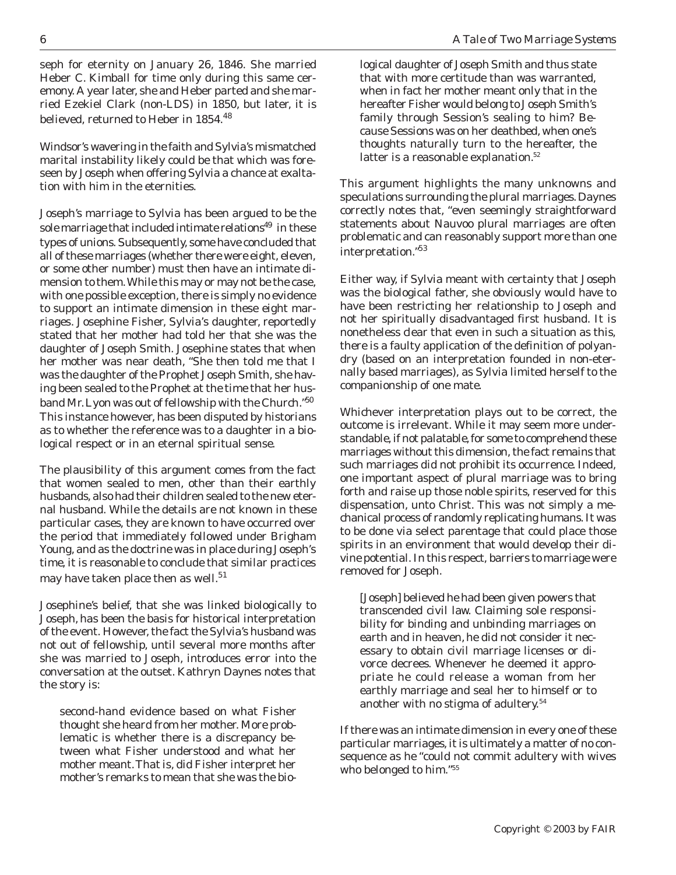seph for eternity on January 26, 1846. She married Heber C. Kimball for time only during this same ceremony. A year later, she and Heber parted and she married Ezekiel Clark (non-LDS) in 1850, but later, it is believed, returned to Heber in 1854.48

Windsor's wavering in the faith and Sylvia's mismatched marital instability likely could be that which was foreseen by Joseph when offering Sylvia a chance at exaltation with him in the eternities.

Joseph's marriage to Sylvia has been argued to be the sole marriage that included intimate relations $49$  in these types of unions. Subsequently, some have concluded that all of these marriages (whether there were eight, eleven, or some other number) must then have an intimate dimension to them. While this may or may not be the case, with one possible exception, there is simply no evidence to support an intimate dimension in these eight marriages. Josephine Fisher, Sylvia's daughter, reportedly stated that her mother had told her that she was the daughter of Joseph Smith. Josephine states that when her mother was near death, "She then told me that I was the daughter of the Prophet Joseph Smith, she having been sealed to the Prophet at the time that her husband Mr. Lyon was out of fellowship with the Church."<sup>50</sup> This instance however, has been disputed by historians as to whether the reference was to a daughter in a biological respect or in an eternal spiritual sense.

The plausibility of this argument comes from the fact that women sealed to men, other than their earthly husbands, also had their children sealed to the new eternal husband. While the details are not known in these particular cases, they are known to have occurred over the period that immediately followed under Brigham Young, and as the doctrine was in place during Joseph's time, it is reasonable to conclude that similar practices may have taken place then as well.<sup>51</sup>

Josephine's belief, that she was linked biologically to Joseph, has been the basis for historical interpretation of the event. However, the fact the Sylvia's husband was not out of fellowship, until several more months after she was married to Joseph, introduces error into the conversation at the outset. Kathryn Daynes notes that the story is:

second-hand evidence based on what Fisher thought she heard from her mother. More problematic is whether there is a discrepancy between what Fisher understood and what her mother meant. That is, did Fisher interpret her mother's remarks to mean that she was the biological daughter of Joseph Smith and thus state that with more certitude than was warranted, when in fact her mother meant only that in the hereafter Fisher would belong to Joseph Smith's family through Session's sealing to him? Because Sessions was on her deathbed, when one's thoughts naturally turn to the hereafter, the latter is a reasonable explanation.<sup>52</sup>

This argument highlights the many unknowns and speculations surrounding the plural marriages. Daynes correctly notes that, "even seemingly straightforward statements about Nauvoo plural marriages are often problematic and can reasonably support more than one interpretation."53

Either way, if Sylvia meant with certainty that Joseph was the biological father, she obviously would have to have been restricting her relationship to Joseph and not her spiritually disadvantaged first husband. It is nonetheless clear that even in such a situation as this, there is a faulty application of the definition of polyandry (based on an interpretation founded in non-eternally based marriages), as Sylvia limited herself to the companionship of one mate.

Whichever interpretation plays out to be correct, the outcome is irrelevant. While it may seem more understandable, if not palatable, for some to comprehend these marriages without this dimension, the fact remains that such marriages did not prohibit its occurrence. Indeed, one important aspect of plural marriage was to bring forth and raise up those noble spirits, reserved for this dispensation, unto Christ. This was not simply a mechanical process of randomly replicating humans. It was to be done via select parentage that could place those spirits in an environment that would develop their divine potential. In this respect, barriers to marriage were removed for Joseph.

[Joseph] believed he had been given powers that transcended civil law. Claiming sole responsibility for binding and unbinding marriages on earth and in heaven, he did not consider it necessary to obtain civil marriage licenses or divorce decrees. Whenever he deemed it appropriate he could release a woman from her earthly marriage and seal her to himself or to another with no stigma of adultery.<sup>54</sup>

If there was an intimate dimension in every one of these particular marriages, it is ultimately a matter of no consequence as he "could not commit adultery with wives who belonged to him."55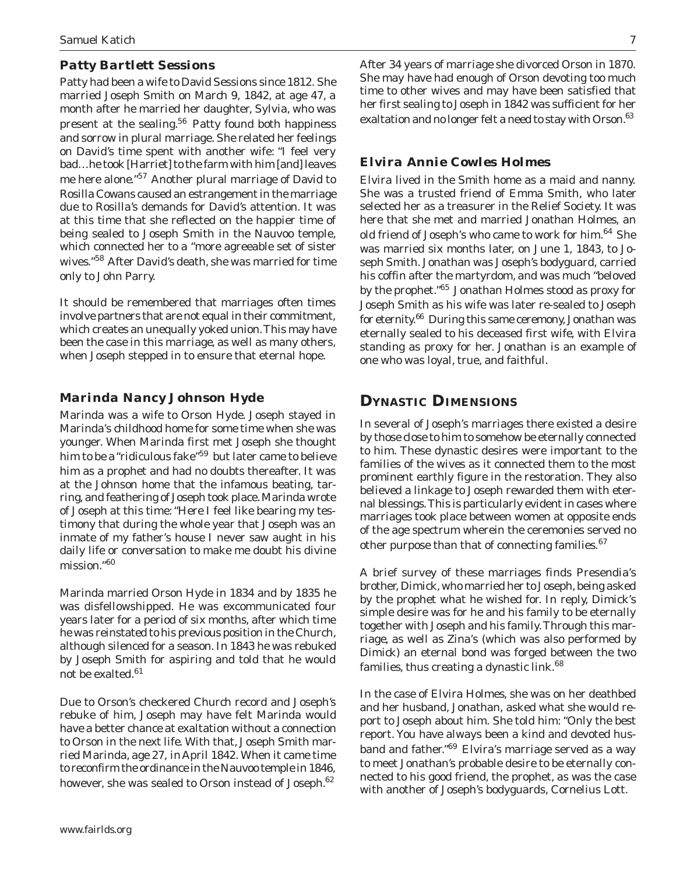#### *Patty Bartlett Sessions*

Patty had been a wife to David Sessions since 1812. She married Joseph Smith on March 9, 1842, at age 47, a month after he married her daughter, Sylvia, who was present at the sealing.<sup>56</sup> Patty found both happiness and sorrow in plural marriage. She related her feelings on David's time spent with another wife: "I feel very bad…he took [Harriet] to the farm with him [and] leaves me here alone."57 Another plural marriage of David to Rosilla Cowans caused an estrangement in the marriage due to Rosilla's demands for David's attention. It was at this time that she reflected on the happier time of being sealed to Joseph Smith in the Nauvoo temple, which connected her to a "more agreeable set of sister wives."58 After David's death, she was married for time only to John Parry.

It should be remembered that marriages often times involve partners that are not equal in their commitment, which creates an unequally yoked union. This may have been the case in this marriage, as well as many others, when Joseph stepped in to ensure that eternal hope.

#### *Marinda Nancy Johnson Hyde*

Marinda was a wife to Orson Hyde. Joseph stayed in Marinda's childhood home for some time when she was younger. When Marinda first met Joseph she thought him to be a "ridiculous fake"<sup>59</sup> but later came to believe him as a prophet and had no doubts thereafter. It was at the Johnson home that the infamous beating, tarring, and feathering of Joseph took place. Marinda wrote of Joseph at this time: "Here I feel like bearing my testimony that during the whole year that Joseph was an inmate of my father's house I never saw aught in his daily life or conversation to make me doubt his divine mission."<sup>60</sup>

Marinda married Orson Hyde in 1834 and by 1835 he was disfellowshipped. He was excommunicated four years later for a period of six months, after which time he was reinstated to his previous position in the Church, although silenced for a season. In 1843 he was rebuked by Joseph Smith for aspiring and told that he would not be exalted.<sup>61</sup>

Due to Orson's checkered Church record and Joseph's rebuke of him, Joseph may have felt Marinda would have a better chance at exaltation without a connection to Orson in the next life. With that, Joseph Smith married Marinda, age 27, in April 1842. When it came time to reconfirm the ordinance in the Nauvoo temple in 1846, however, she was sealed to Orson instead of Joseph.<sup>62</sup>

After 34 years of marriage she divorced Orson in 1870. She may have had enough of Orson devoting too much time to other wives and may have been satisfied that her first sealing to Joseph in 1842 was sufficient for her exaltation and no longer felt a need to stay with Orson.<sup>63</sup>

#### *Elvira Annie Cowles Holmes*

Elvira lived in the Smith home as a maid and nanny. She was a trusted friend of Emma Smith, who later selected her as a treasurer in the Relief Society. It was here that she met and married Jonathan Holmes, an old friend of Joseph's who came to work for him.<sup>64</sup> She was married six months later, on June 1, 1843, to Joseph Smith. Jonathan was Joseph's bodyguard, carried his coffin after the martyrdom, and was much "beloved by the prophet."65 Jonathan Holmes stood as proxy for Joseph Smith as his wife was later re-sealed to Joseph for eternity.<sup>66</sup> During this same ceremony, Jonathan was eternally sealed to his deceased first wife, with Elvira standing as proxy for her. Jonathan is an example of one who was loyal, true, and faithful.

## **DYNASTIC DIMENSIONS**

In several of Joseph's marriages there existed a desire by those close to him to somehow be eternally connected to him. These dynastic desires were important to the families of the wives as it connected them to the most prominent earthly figure in the restoration. They also believed a linkage to Joseph rewarded them with eternal blessings. This is particularly evident in cases where marriages took place between women at opposite ends of the age spectrum wherein the ceremonies served no other purpose than that of connecting families.<sup>67</sup>

A brief survey of these marriages finds Presendia's brother, Dimick, who married her to Joseph, being asked by the prophet what he wished for. In reply, Dimick's simple desire was for he and his family to be eternally together with Joseph and his family. Through this marriage, as well as Zina's (which was also performed by Dimick) an eternal bond was forged between the two families, thus creating a dynastic link. $68$ 

In the case of Elvira Holmes, she was on her deathbed and her husband, Jonathan, asked what she would report to Joseph about him. She told him: "Only the best report. You have always been a kind and devoted husband and father."69 Elvira's marriage served as a way to meet Jonathan's probable desire to be eternally connected to his good friend, the prophet, as was the case with another of Joseph's bodyguards, Cornelius Lott.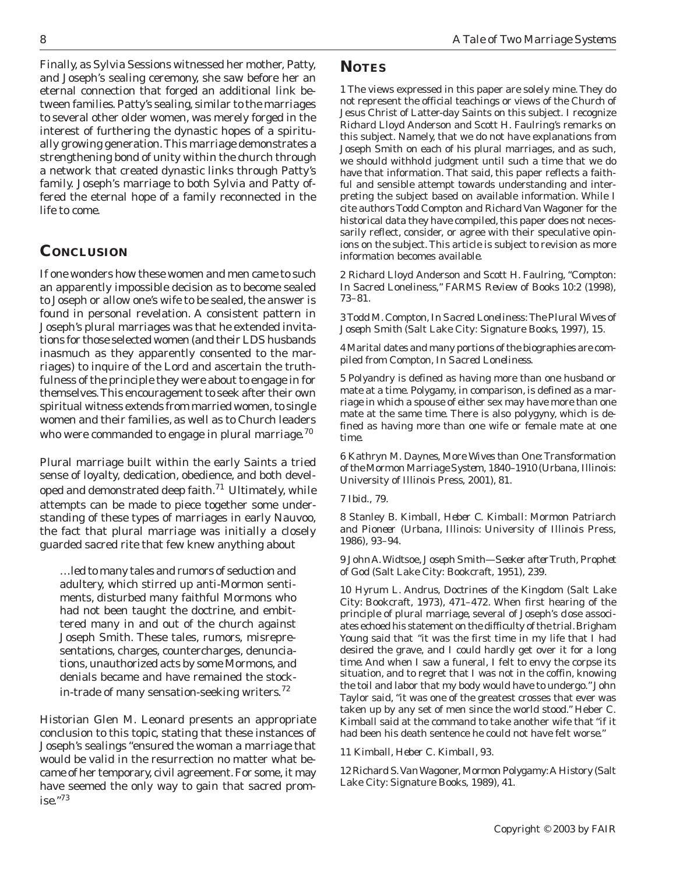Finally, as Sylvia Sessions witnessed her mother, Patty, and Joseph's sealing ceremony, she saw before her an eternal connection that forged an additional link between families. Patty's sealing, similar to the marriages to several other older women, was merely forged in the interest of furthering the dynastic hopes of a spiritually growing generation. This marriage demonstrates a strengthening bond of unity within the church through a network that created dynastic links through Patty's family. Joseph's marriage to both Sylvia and Patty offered the eternal hope of a family reconnected in the life to come.

## **CONCLUSION**

If one wonders how these women and men came to such an apparently impossible decision as to become sealed to Joseph or allow one's wife to be sealed, the answer is found in personal revelation. A consistent pattern in Joseph's plural marriages was that he extended invitations for those selected women (and their LDS husbands inasmuch as they apparently consented to the marriages) to inquire of the Lord and ascertain the truthfulness of the principle they were about to engage in for themselves. This encouragement to seek after their own spiritual witness extends from married women, to single women and their families, as well as to Church leaders who were commanded to engage in plural marriage.<sup>70</sup>

Plural marriage built within the early Saints a tried sense of loyalty, dedication, obedience, and both developed and demonstrated deep faith.<sup>71</sup> Ultimately, while attempts can be made to piece together some understanding of these types of marriages in early Nauvoo, the fact that plural marriage was initially a closely guarded sacred rite that few knew anything about

…led to many tales and rumors of seduction and adultery, which stirred up anti-Mormon sentiments, disturbed many faithful Mormons who had not been taught the doctrine, and embittered many in and out of the church against Joseph Smith. These tales, rumors, misrepresentations, charges, countercharges, denunciations, unauthorized acts by some Mormons, and denials became and have remained the stockin-trade of many sensation-seeking writers.<sup>72</sup>

Historian Glen M. Leonard presents an appropriate conclusion to this topic, stating that these instances of Joseph's sealings "ensured the woman a marriage that would be valid in the resurrection no matter what became of her temporary, civil agreement. For some, it may have seemed the only way to gain that sacred prom $i$ se."73

## **NOTES**

1 The views expressed in this paper are solely mine. They do not represent the official teachings or views of the Church of Jesus Christ of Latter-day Saints on this subject. I recognize Richard Lloyd Anderson and Scott H. Faulring's remarks on this subject. Namely, that we do not have explanations from Joseph Smith on each of his plural marriages, and as such, we should withhold judgment until such a time that we do have that information. That said, this paper reflects a faithful and sensible attempt towards understanding and interpreting the subject based on available information. While I cite authors Todd Compton and Richard Van Wagoner for the historical data they have compiled, this paper does not necessarily reflect, consider, or agree with their speculative opinions on the subject. This article is subject to revision as more information becomes available.

2 Richard Lloyd Anderson and Scott H. Faulring, "Compton: In Sacred Loneliness," *FARMS Review of Books* 10:2 (1998), 73–81.

3 Todd M. Compton, *In Sacred Loneliness: The Plural Wives of Joseph Smith* (Salt Lake City: Signature Books, 1997), 15.

4 Marital dates and many portions of the biographies are compiled from Compton, *In Sacred Loneliness.*

5 *Polyandry* is defined as having more than one husband or mate at a time. *Polygamy,* in comparison, is defined as a marriage in which a spouse of either sex may have more than one mate at the same time. There is also *polygyny,* which is defined as having more than one wife or female mate at one time.

6 Kathryn M. Daynes, *More Wives than One: Transformation of the Mormon Marriage System, 1840–1910* (Urbana, Illinois: University of Illinois Press, 2001), 81.

7 Ibid., 79.

8 Stanley B. Kimball, *Heber C. Kimball: Mormon Patriarch and Pioneer* (Urbana, Illinois: University of Illinois Press, 1986), 93–94.

9 John A. Widtsoe, *Joseph Smith—Seeker after Truth, Prophet of God* (Salt Lake City: Bookcraft, 1951), 239.

10 Hyrum L. Andrus, *Doctrines of the Kingdom* (Salt Lake City: Bookcraft, 1973), 471–472. When first hearing of the principle of plural marriage, several of Joseph's close associates echoed his statement on the difficulty of the trial. Brigham Young said that "it was the first time in my life that I had desired the grave, and I could hardly get over it for a long time. And when I saw a funeral, I felt to envy the corpse its situation, and to regret that I was not in the coffin, knowing the toil and labor that my body would have to undergo." John Taylor said, "it was one of the greatest crosses that ever was taken up by any set of men since the world stood." Heber C. Kimball said at the command to take another wife that "if it had been his death sentence he could not have felt worse."

11 Kimball, *Heber C. Kimball,* 93.

12 Richard S. Van Wagoner, *Mormon Polygamy: A History* (Salt Lake City: Signature Books, 1989), 41.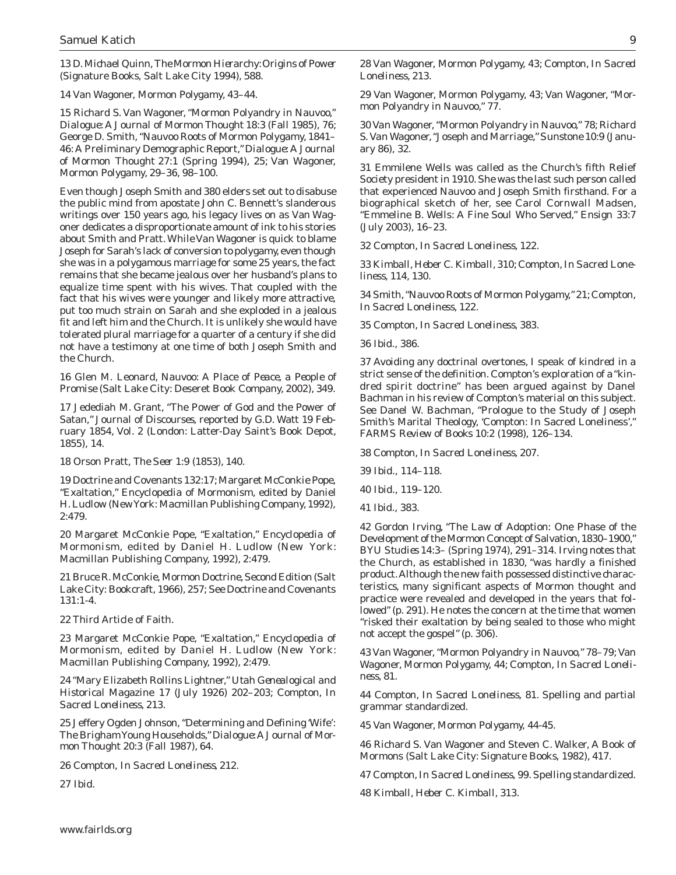13 D. Michael Quinn, *The Mormon Hierarchy: Origins of Power* (Signature Books, Salt Lake City 1994), 588.

14 Van Wagoner, *Mormon Polygamy,* 43–44.

15 Richard S. Van Wagoner, "Mormon Polyandry in Nauvoo," *Dialogue: A Journal of Mormon Thought* 18:3 (Fall 1985), 76; George D. Smith, "Nauvoo Roots of Mormon Polygamy, 1841– 46: A Preliminary Demographic Report," *Dialogue: A Journal of Mormon Thought* 27:1 (Spring 1994), 25; Van Wagoner, *Mormon Polygamy,* 29–36, 98–100.

Even though Joseph Smith and 380 elders set out to disabuse the public mind from apostate John C. Bennett's slanderous writings over 150 years ago, his legacy lives on as Van Wagoner dedicates a disproportionate amount of ink to his stories about Smith and Pratt. While Van Wagoner is quick to blame Joseph for Sarah's lack of conversion to polygamy, even though she was in a polygamous marriage for some 25 years, the fact remains that she became jealous over her husband's plans to equalize time spent with his wives. That coupled with the fact that his wives were younger and likely more attractive, put too much strain on Sarah and she exploded in a jealous fit and left him and the Church. It is unlikely she would have tolerated plural marriage for a quarter of a century if she did not have a testimony at one time of both Joseph Smith and the Church.

16 Glen M. Leonard, *Nauvoo: A Place of Peace, a People of Promise* (Salt Lake City: Deseret Book Company, 2002), 349.

17 Jedediah M. Grant, "The Power of God and the Power of Satan," *Journal of Discourses,* reported by G.D. Watt 19 February 1854, Vol. 2 (London: Latter-Day Saint's Book Depot, 1855), 14.

18 Orson Pratt, *The Seer* 1:9 (1853), 140.

19 Doctrine and Covenants 132:17; Margaret McConkie Pope, "Exaltation," *Encyclopedia of Mormonism,* edited by Daniel H. Ludlow (New York: Macmillan Publishing Company, 1992), 2:479.

20 Margaret McConkie Pope, "Exaltation," *Encyclopedia of Mormonism,* edited by Daniel H. Ludlow (New York: Macmillan Publishing Company, 1992), 2:479.

21 Bruce R. McConkie, Mormon Doctrine, Second Edition (Salt Lake City: Bookcraft, 1966), 257; See Doctrine and Covenants 131:1-4.

22 Third Article of Faith.

23 Margaret McConkie Pope, "Exaltation," *Encyclopedia of Mormonism,* edited by Daniel H. Ludlow (New York: Macmillan Publishing Company, 1992), 2:479.

24 "Mary Elizabeth Rollins Lightner," *Utah Genealogical and Historical Magazine* 17 (July 1926) 202–203; Compton, *In Sacred Loneliness,* 213.

25 Jeffery Ogden Johnson, "Determining and Defining 'Wife': The Brigham Young Households," *Dialogue: A Journal of Mormon Thought* 20:3 (Fall 1987), 64.

26 Compton, *In Sacred Loneliness,* 212.

27 Ibid.

28 Van Wagoner, *Mormon Polygamy,* 43; Compton, *In Sacred Loneliness,* 213.

29 Van Wagoner, *Mormon Polygamy,* 43; Van Wagoner, "Mormon Polyandry in Nauvoo," 77.

30 Van Wagoner, "Mormon Polyandry in Nauvoo," 78; Richard S. Van Wagoner, "Joseph and Marriage," *Sunstone* 10:9 (January 86), 32.

31 Emmilene Wells was called as the Church's fifth Relief Society president in 1910. She was the last such person called that experienced Nauvoo and Joseph Smith firsthand. For a biographical sketch of her, see Carol Cornwall Madsen, "Emmeline B. Wells: A Fine Soul Who Served," *Ensign* 33:7 (July 2003), 16–23.

32 Compton, *In Sacred Loneliness,* 122.

33 Kimball, *Heber C. Kimball,* 310; Compton, *In Sacred Loneliness,* 114, 130.

34 Smith, "Nauvoo Roots of Mormon Polygamy," 21; Compton, *In Sacred Loneliness,* 122.

35 Compton, *In Sacred Loneliness,* 383.

36 Ibid., 386.

37 Avoiding any doctrinal overtones, I speak of *kindred* in a strict sense of the definition. Compton's exploration of a "kindred spirit doctrine" has been argued against by Danel Bachman in his review of Compton's material on this subject. See Danel W. Bachman, "Prologue to the Study of Joseph Smith's Marital Theology, 'Compton: In Sacred Loneliness'," *FARMS Review of Books* 10:2 (1998), 126–134.

38 Compton, *In Sacred Loneliness,* 207.

39 Ibid., 114–118.

40 Ibid., 119–120.

41 Ibid., 383.

42 Gordon Irving, "The Law of Adoption: One Phase of the Development of the Mormon Concept of Salvation, 1830–1900," *BYU Studies* 14:3– (Spring 1974), 291–314. Irving notes that the Church, as established in 1830, "was hardly a finished product. Although the new faith possessed distinctive characteristics, many significant aspects of Mormon thought and practice were revealed and developed in the years that followed" (p. 291). He notes the concern at the time that women "risked their exaltation by being sealed to those who might not accept the gospel" (p. 306).

43 Van Wagoner, "Mormon Polyandry in Nauvoo," 78–79; Van Wagoner, *Mormon Polygamy,* 44; Compton, *In Sacred Loneliness,* 81.

44 Compton, *In Sacred Loneliness,* 81. Spelling and partial grammar standardized.

45 Van Wagoner, *Mormon Polygamy,* 44-45.

46 Richard S. Van Wagoner and Steven C. Walker, *A Book of Mormons* (Salt Lake City: Signature Books, 1982), 417.

47 Compton, *In Sacred Loneliness,* 99. Spelling standardized.

48 Kimball, *Heber C. Kimball,* 313.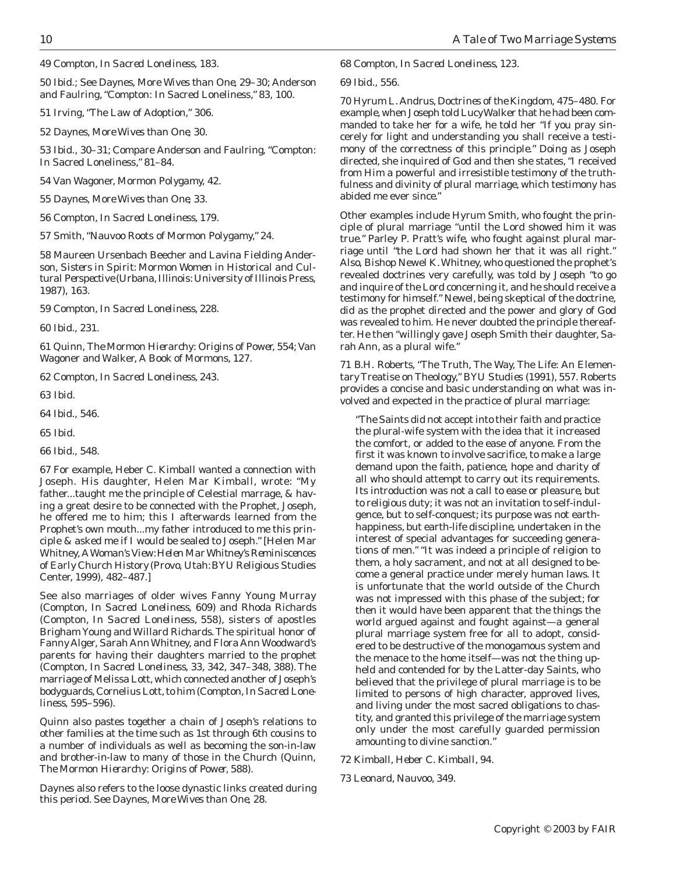49 Compton, *In Sacred Loneliness,* 183.

50 Ibid.; See Daynes, *More Wives than One,* 29–30; Anderson and Faulring, "Compton: In Sacred Loneliness," 83, 100.

51 Irving, "The Law of Adoption," 306.

52 Daynes, *More Wives than One,* 30.

53 Ibid., 30–31; Compare Anderson and Faulring, "Compton: In Sacred Loneliness," 81–84.

54 Van Wagoner, *Mormon Polygamy,* 42.

55 Daynes, *More Wives than One,* 33.

56 Compton, *In Sacred Loneliness,* 179.

57 Smith, "Nauvoo Roots of Mormon Polygamy," 24.

58 Maureen Ursenbach Beecher and Lavina Fielding Anderson, *Sisters in Spirit: Mormon Women in Historical and Cultural Perspective* (Urbana, Illinois: University of Illinois Press, 1987), 163.

59 Compton, *In Sacred Loneliness,* 228.

60 Ibid., 231.

61 Quinn, *The Mormon Hierarchy: Origins of Power,* 554; Van Wagoner and Walker, *A Book of Mormons,* 127.

62 Compton, *In Sacred Loneliness,* 243.

63 Ibid.

64 Ibid., 546.

65 Ibid.

66 Ibid., 548.

67 For example, Heber C. Kimball wanted a connection with Joseph. His daughter, Helen Mar Kimball, wrote: "My father...taught me the principle of Celestial marrage, & having a great desire to be connected with the Prophet, Joseph, he offered me to him; this I afterwards learned from the Prophet's own mouth...my father introduced to me this principle & asked me if I would be sealed to Joseph." [Helen Mar Whitney, *A Woman's View: Helen Mar Whitney's Reminiscences of Early Church History* (Provo, Utah: BYU Religious Studies Center, 1999), 482–487.]

See also marriages of older wives Fanny Young Murray (Compton, *In Sacred Loneliness,* 609) and Rhoda Richards (Compton, *In Sacred Loneliness,* 558), sisters of apostles Brigham Young and Willard Richards. The spiritual honor of Fanny Alger, Sarah Ann Whitney, and Flora Ann Woodward's parents for having their daughters married to the prophet (Compton, *In Sacred Loneliness,* 33, 342, 347–348, 388). The marriage of Melissa Lott, which connected another of Joseph's bodyguards, Cornelius Lott, to him (Compton, *In Sacred Loneliness,* 595–596).

Quinn also pastes together a chain of Joseph's relations to other families at the time such as 1st through 6th cousins to a number of individuals as well as becoming the son-in-law and brother-in-law to many of those in the Church (Quinn, *The Mormon Hierarchy: Origins of Power,* 588).

Daynes also refers to the loose dynastic links created during this period. See Daynes, *More Wives than One,* 28.

#### 68 Compton, *In Sacred Loneliness,* 123.

69 Ibid., 556.

70 Hyrum L. Andrus, *Doctrines of the Kingdom,* 475–480. For example, when Joseph told Lucy Walker that he had been commanded to take her for a wife, he told her "If you pray sincerely for light and understanding you shall receive a testimony of the correctness of this principle." Doing as Joseph directed, she inquired of God and then she states, "I received from Him a powerful and irresistible testimony of the truthfulness and divinity of plural marriage, which testimony has abided me ever since."

Other examples include Hyrum Smith, who fought the principle of plural marriage "until the Lord showed him it was true." Parley P. Pratt's wife, who fought against plural marriage until "the Lord had shown her that it was all right." Also, Bishop Newel K. Whitney, who questioned the prophet's revealed doctrines very carefully, was told by Joseph "to go and inquire of the Lord concerning it, and he should receive a testimony for himself." Newel, being skeptical of the doctrine, did as the prophet directed and the power and glory of God was revealed to him. He never doubted the principle thereafter. He then "willingly gave Joseph Smith their daughter, Sarah Ann, as a plural wife."

71 B.H. Roberts, "The Truth, The Way, The Life: An Elementary Treatise on Theology," *BYU Studies* (1991), 557. Roberts provides a concise and basic understanding on what was involved and expected in the practice of plural marriage:

"The Saints did not accept into their faith and practice the plural-wife system with the idea that it increased the comfort, or added to the ease of anyone. From the first it was known to involve sacrifice, to make a large demand upon the faith, patience, hope and charity of all who should attempt to carry out its requirements. Its introduction was not a call to ease or pleasure, but to religious duty; it was not an invitation to self-indulgence, but to self-conquest; its purpose was not earthhappiness, but earth-life discipline, undertaken in the interest of special advantages for succeeding generations of men." "It was indeed a principle of religion to them, a holy sacrament, and not at all designed to become a general practice under merely human laws. It is unfortunate that the world outside of the Church was not impressed with this phase of the subject; for then it would have been apparent that the things the world argued against and fought against—a general plural marriage system free for all to adopt, considered to be destructive of the monogamous system and the menace to the home itself—was not the thing upheld and contended for by the Latter-day Saints, who believed that the privilege of plural marriage is to be limited to persons of high character, approved lives, and living under the most sacred obligations to chastity, and granted this privilege of the marriage system only under the most carefully guarded permission amounting to divine sanction."

72 Kimball, *Heber C. Kimball,* 94.

73 Leonard, *Nauvoo,* 349.